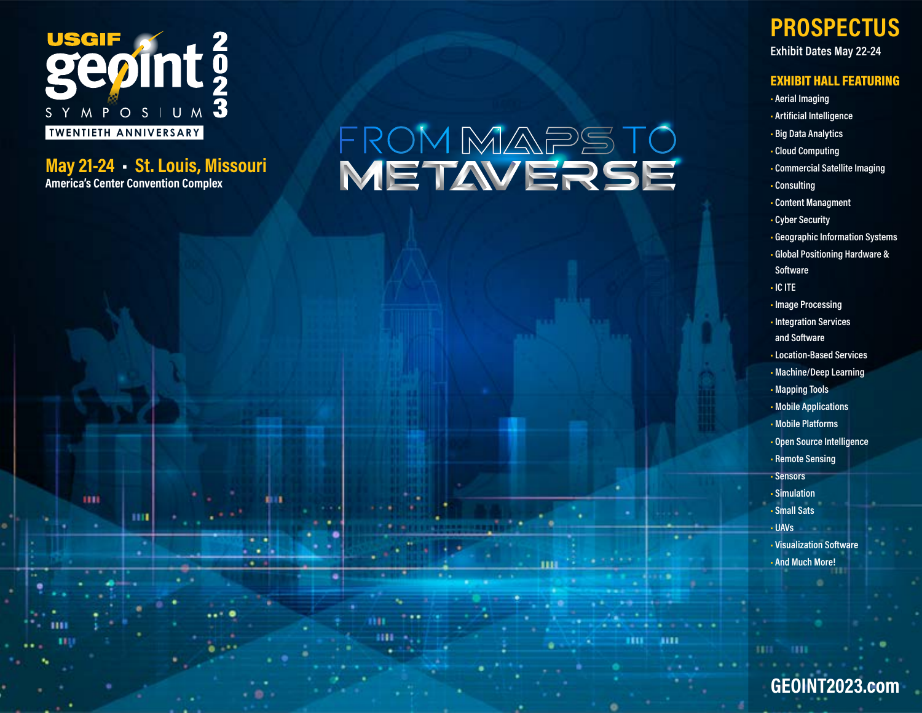

m

ш

 $\cdot$   $\cdot$ . .  $\bullet$   $\bullet$ 

m

**May 21-24 • St. Louis, Missouri America's Center Convention Complex**

# FROMMAPSTO<br>METAVERSE

ш

ш

# **PROSPECTUS**

**Exhibit Dates May 22-24**

### EXHIBIT HALL FEATURING

- **• Aerial Imaging**
- **Artificial Intelligence**
- **• Big Data Analytics**
- **• Cloud Computing**
- **• Commercial Satellite Imaging**
- **• Consulting**
- **• Content Managment**
- **• Cyber Security**
- **• Geographic Information Systems**
- **• Global Positioning Hardware & Software**
- **• IC ITE**
- **• Image Processing**
- **• Integration Services and Software**
- **• Location-Based Services**
- **• Machine/Deep Learning**
- **• Mapping Tools**
- **• Mobile Applications**
- **• Mobile Platforms**
- **• Open Source Intelligence**
- **• Remote Sensing**
- **• Sensors**
- **• Simulation • Small Sats**
- **• UAVs**
- **• Visualization Software • And Much More!**

ш

**[GEOINT2023.com](https://usgif.org/geoint-symposium/)**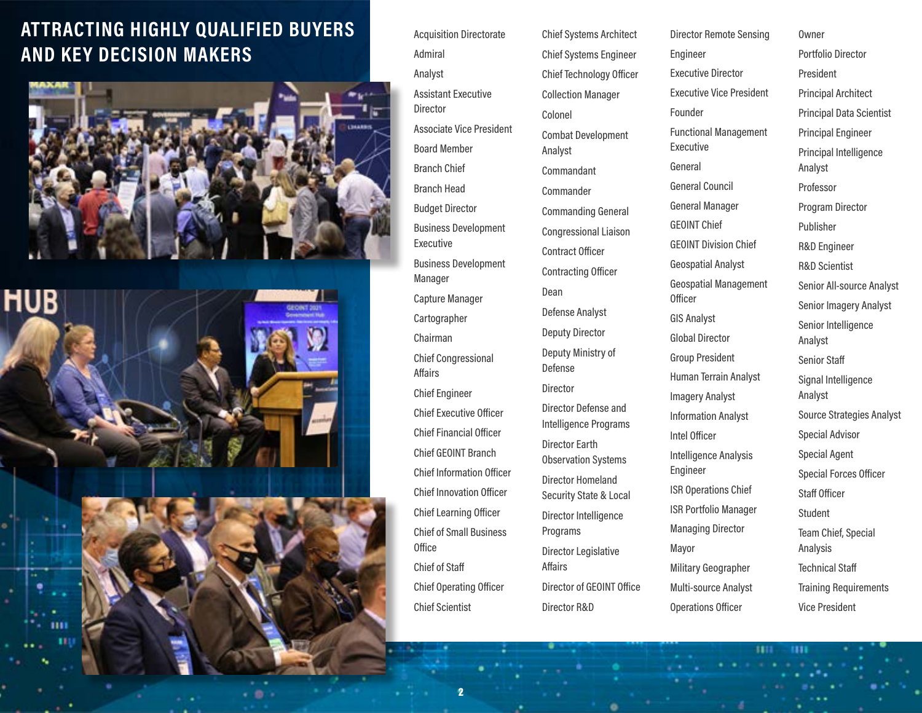# **ATTRACTING HIGHLY QUALIFIED BUYERS AND KEY DECISION MAKERS**





Acquisition Directorate Admiral Analyst Assistant Executive **Director** Associate Vice President Board Member Branch Chief Branch Head Budget Director Business Development Executive Business Development Manager Capture Manager Cartographer Chairman Chief Congressional Affairs Chief Engineer Chief Executive Officer Chief Financial Officer Chief GEOINT Branch Chief Information Officer Chief Innovation Officer Chief Learning Officer Chief of Small Business **Office** Chief of Staff Chief Operating Officer Chief Scientist

Chief Systems Architect Chief Systems Engineer Chief Technology Officer Collection Manager Colonel Combat Development Analyst Commandant Commander Commanding General Congressional Liaison Contract Officer Contracting Officer Dean Defense Analyst Deputy Director Deputy Ministry of Defense Director Director Defense and Intelligence Programs Director Earth Observation Systems Director Homeland Security State & Local Director Intelligence Programs Director Legislative Affairs Director of GEOINT Office Director R&D

Director Remote Sensing Engineer Executive Director Executive Vice President Founder Functional Management Executive General General Council General Manager GEOINT Chief GEOINT Division Chief Geospatial Analyst Geospatial Management **Officer** GIS Analyst Global Director Group President Human Terrain Analyst Imagery Analyst Information Analyst Intel Officer Intelligence Analysis Engineer ISR Operations Chief ISR Portfolio Manager Managing Director Mayor Military Geographer Multi-source Analyst Operations Officer

ш

ш

Owner Portfolio Director President Principal Architect Principal Data Scientist Principal Engineer Principal Intelligence Analyst Professor Program Director Publisher R&D Engineer R&D Scientist Senior All-source Analyst Senior Imagery Analyst Senior Intelligence Analyst Senior Staff Signal Intelligence Analyst Source Strategies Analyst Special Advisor Special Agent Special Forces Officer Staff Officer Student Team Chief, Special Analysis Technical Staff Training Requirements Vice President

2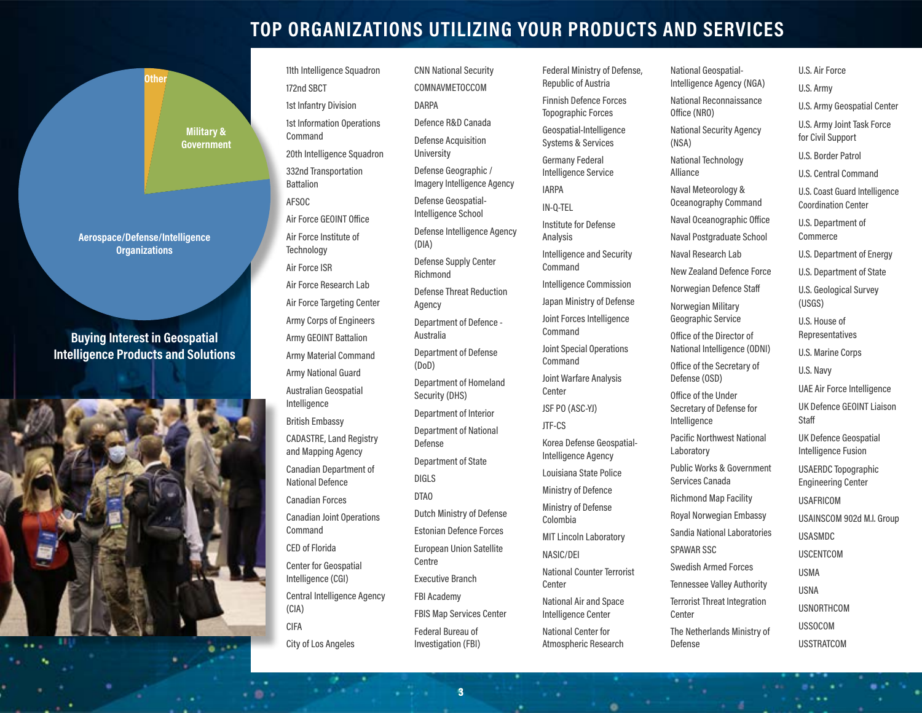### **TOP ORGANIZATIONS UTILIZING YOUR PRODUCTS AND SERVICES**

**Military & Government Other**

**Aerospace/Defense/Intelligence Organizations**

**Buying Interest in Geospatial Intelligence Products and Solutions**



11th Intelligence Squadron 172nd SBCT 1st Infantry Division 1st Information Operations Command 20th Intelligence Squadron 332nd Transportation Battalion AFSOC Air Force GEOINT Office Air Force Institute of **Technology** Air Force ISR Air Force Research Lab Air Force Targeting Center Army Corps of Engineers Army GEOINT Battalion Army Material Command Army National Guard Australian Geospatial Intelligence British Embassy CADASTRE, Land Registry and Mapping Agency Canadian Department of National Defence Canadian Forces Canadian Joint Operations Command CED of Florida Center for Geospatial Intelligence (CGI) Central Intelligence Agency (CIA) CIFA City of Los Angeles

CNN National Security COMNAVMETOCCOM DARPA Defence R&D Canada Defense Acquisition University Defense Geographic / Imagery Intelligence Agency Defense Geospatial-Intelligence School Defense Intelligence Agency (DIA) Defense Supply Center Richmond Defense Threat Reduction Agency Department of Defence - Australia Department of Defense (DoD) Department of Homeland Security (DHS) Department of Interior Department of National Defense Department of State DIGLS DTAO Dutch Ministry of Defense Estonian Defence Forces European Union Satellite **Centre** Executive Branch FBI Academy FBIS Map Services Center Federal Bureau of Investigation (FBI)

Federal Ministry of Defense, Republic of Austria Finnish Defence Forces Topographic Forces Geospatial-Intelligence Systems & Services Germany Federal Intelligence Service IARPA IN-Q-TEL Institute for Defense Analysis Intelligence and Security Command Intelligence Commission Japan Ministry of Defense Joint Forces Intelligence Command Joint Special Operations Command Joint Warfare Analysis Center JSF PO (ASC-YJ) JTF-CS Korea Defense Geospatial-Intelligence Agency Louisiana State Police Ministry of Defence Ministry of Defense Colombia MIT Lincoln Laboratory NASIC/DEI National Counter Terrorist Center National Air and Space Intelligence Center National Center for

Atmospheric Research

National Geospatial-Intelligence Agency (NGA) National Reconnaissance Office (NRO) National Security Agency (NSA) National Technology Alliance Naval Meteorology & Oceanography Command Naval Oceanographic Office Naval Postgraduate School Naval Research Lab New Zealand Defence Force Norwegian Defence Staff Norwegian Military Geographic Service Office of the Director of National Intelligence (ODNI) Office of the Secretary of Defense (OSD) Office of the Under Secretary of Defense for Intelligence Pacific Northwest National Laboratory Public Works & Government Services Canada Richmond Map Facility Royal Norwegian Embassy Sandia National Laboratories SPAWAR SSC Swedish Armed Forces Tennessee Valley Authority Terrorist Threat Integration Center

The Netherlands Ministry of

Defense

U.S. Air Force U.S. Army U.S. Army Geospatial Center U.S. Army Joint Task Force for Civil Support U.S. Border Patrol U.S. Central Command U.S. Coast Guard Intelligence Coordination Center U.S. Department of Commerce U.S. Department of Energy U.S. Department of State U.S. Geological Survey (USGS) U.S. House of Representatives U.S. Marine Corps U.S. Navy UAE Air Force Intelligence UK Defence GEOINT Liaison **Staff** UK Defence Geospatial Intelligence Fusion USAERDC Topographic Engineering Center USAFRICOM USAINSCOM 902d M.I. Group USASMDC USCENTCOM USMA USNA USNORTHCOM USSOCOM USSTRATCOM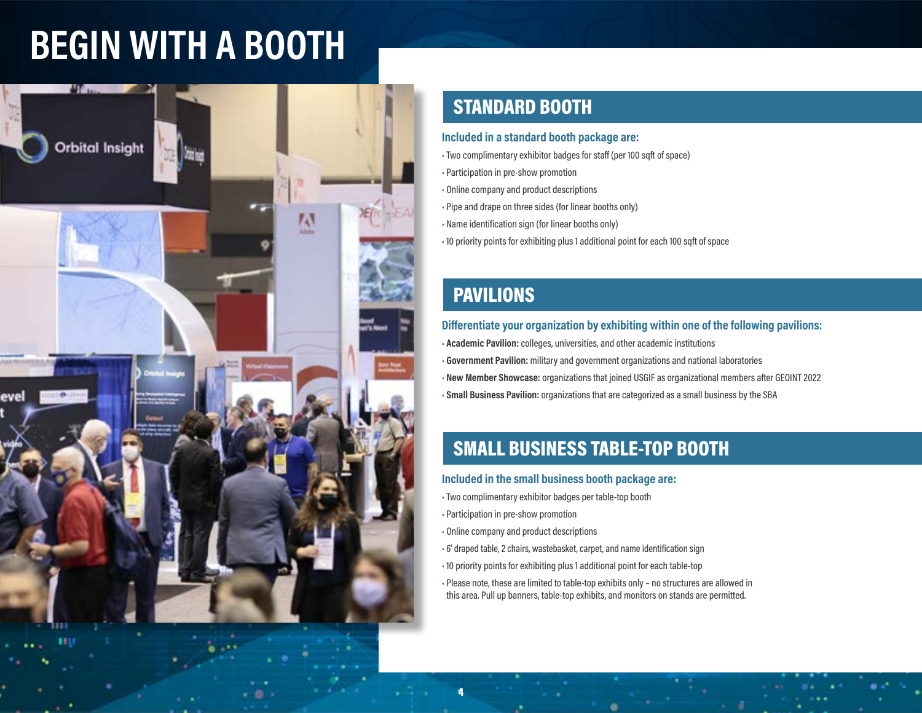# **BEGIN WITH A BOOTH**



# STANDARD BOOTH

### **Included in a standard booth package are:**

•Two complimentary exhibitor badges for staff (per 100 sqft of space)

- Participation in pre-show promotion
- Online company and product descriptions
- Pipe and drape on three sides (for linear booths only)
- Name identification sign (for linear booths only)
- 10 priority points for exhibiting plus 1 additional point for each 100 sqft of space

### PAVILIONS

### **Differentiate your organization by exhibiting within one of the following pavilions:**

• **Academic Pavilion:** colleges, universities, and other academic institutions • **Government Pavilion:** military and government organizations and national laboratories • **New Member Showcase:** organizations that joined USGIF as organizational members after GEOINT 2022 • **Small Business Pavilion:** organizations that are categorized as a small business by the SBA

# SMALL BUSINESS TABLE-TOP BOOTH

### **Included in the small business booth package are:**

- •Two complimentary exhibitor badges per table-top booth
- Participation in pre-show promotion

4

- Online company and product descriptions
- 6' draped table, 2 chairs, wastebasket, carpet, and name identification sign
- 10 priority points for exhibiting plus 1 additional point for each table-top

• Please note, these are limited to table-top exhibits only – no structures are allowed in this area. Pull up banners, table-top exhibits, and monitors on stands are permitted.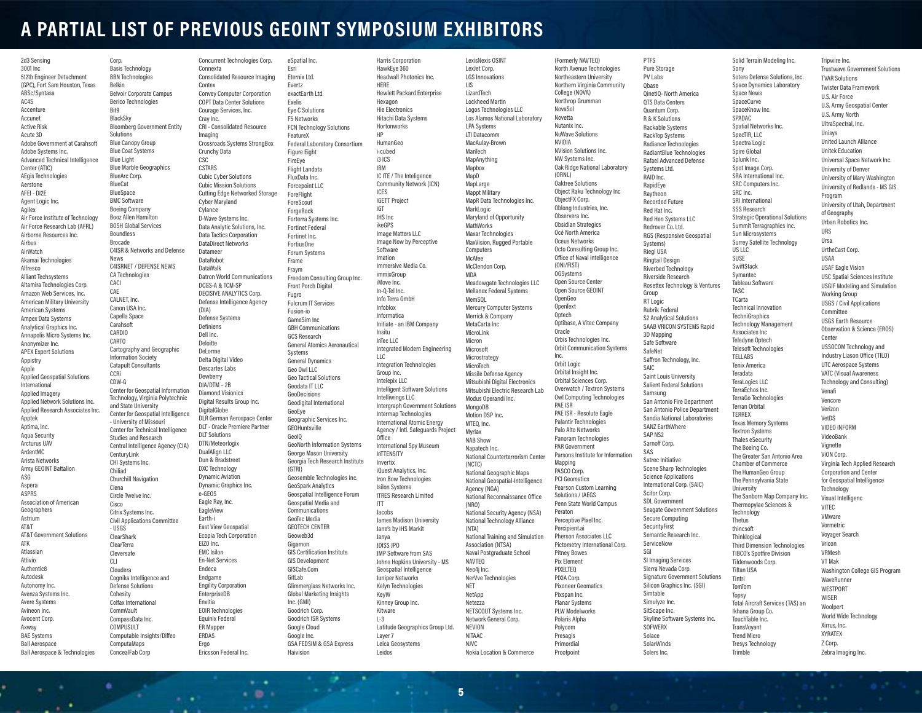### **A PARTIAL LIST OF PREVIOUS GEOINT SYMPOSIUM EXHIBITORS**

2d3 Sensing 3001 Inc 512th Engineer Detachment (GPC), Fort Sam Houston, Texas ABSc/Syntasa AC4S Accenture Accunet Active Risk Acute 3D Adobe Government at Carahsoft Adobe Systems Inc. Advanced Technical Intelligence Center (ATIC) AEgis Technologies Aerstone AFEI - DI2E Agent Logic Inc. Agilex Air Force Institute of Technology Air Force Research Lab (AFRL) Airborne Resources Inc. Airbus AirWatch Akamai Technologies Alfresco Alliant Techsystems Altamira Technologies Corp. Amazon Web Services, Inc. American Military University American Systems Ampex Data Systems Analytical Graphics Inc. Annapolis Micro Systems Inc. Anonymizer Inc. APEX Expert Solutions Appistry Apple Applied Geospatial Solutions International Applied Imagery Applied Network Solutions Inc. Applied Research Associates Inc. Apptek Aptima, Inc. Aqua Security Arcturus UAV ArdentMC Arista Networks Army GEOINT Battalion ASG Aspera ASPRS Association of American Geographers Astrium AT&T AT&T Government Solutions ATK Atlassian Attivio **Authentic8** Autodesk Autonomy Inc. Avenza Systems Inc. Avere Systems Avineon Inc. Avocent Corp. Axway BAE Systems Ball Aerospace Ball Aerospace & Technologies

Basis Technology BBN Technologies Belkin Belvoir Corporate Campus Berico Technologies **BlackSky** Bloomberg Government Entity Solutions Blue Canopy Group Blue Coat Systems Blue Light Blue Marble Geographics BlueArc Corp. BlueCat BlueSpace BMC Software Boeing Company Booz Allen Hamilton BOSH Global Services Boundless Brocade C4ISR & Networks and Defense News C4ISRNET / DEFENSE NEWS CA Technologies CALNET, Inc. Canon USA Inc. Capella Space Carahsoft CARDIO CARTO Cartography and Geographic Information Society Catapult Consultants CDW-G Center for Geospatial Information Technology, Virginia Polytechnic and State University Center for Geospatial Intelligence - University of Missouri Center for Technical Intelligence Studies and Research Central Intelligence Agency (CIA) CenturyLink CHI Systems Inc. Chiliad Churchill Navigation Ciena Circle Twelve Inc. **Cisco** Citrix Systems Inc. Civil Applications Committee - USGS **ClearShark** ClearTerra Cleversafe Cloudera Cognika Intelligence and Defense Solutions **Cohesity** Colfax International CommVault CompassData Inc. COMPUSULT Computable Insights/Diffeo ComputaMaps Contex Cray Inc. CSC (DIA) Earth-i Envitia ERDAS Ergo

Corp.

Bit9

CACI CAE

**CCRi** 

 $C\Box$ 

ConcealFab Corp

٠

Concurrent Technologies Corp. Connexta Consolidated Resource Imaging Convey Computer Corporation COPT Data Center Solutions Courage Services, Inc. CRI - Consolidated Resource Imaging Crossroads Systems StrongBox Crunchy Data CSTARS Cubic Cyber Solutions Cubic Mission Solutions Cutting Edge Networked Storage Cyber Maryland **Cylance** D-Wave Systems Inc. Data Analytic Solutions, Inc. Data Tactics Corporation DataDirect Networks Datameer DataRobot DataWalk Datron World Communications DCGS-A & TCM-SP DECISIVE ANALYTICS Corp. Defense Intelligence Agency Defense Systems Definiens Dell Inc. Deloitte DeLorme Delta Digital Video Descartes Labs **Dewherry** DIA/DTM – 2B Diamond Visionics Digital Results Group Inc. **DigitalGlobe** DLR German Aerospace Center DLT - Oracle Premiere Partner DLT Solutions DTN/Meteorlogix DualAlign LLC Dun & Bradstreet DXC Technology Dynamic Aviation Dynamic Graphics Inc. e-GEOS Eagle Ray, Inc. EagleView East View Geospatial Ecopia Tech Corporation EIZO Inc. EMC Isilon En-Net Services Endeca Endgame Engility Corporation **EnterpriseDB** EOIR Technologies Equinix Federal ER Mapper Ericsson Federal Inc. eSpatial Inc. Esri Eternix Ltd. Evertz exactEarth Ltd. Exelis Eye C Solutions F5 Networks FeatureX Figure Eight FireEye Flight Landata FluxData Inc. Forcepoint LLC ForeFlight ForeScout **ForgeRock** Fortinet Federal Fortinet Inc. FortiusOne Forum Systems Frame Fraym **Front Porch Digital** Fugro Fulcrum IT Services Fusion-io GameSim Inc GCS Research **Systems** General Dynamics Geo Owl LLC Geodata IT LLC GeoDecisions GeoEye GEOHuntsville GeoIQ (GTRI) GeoSpark Analytics Communications GeoTec Media GEOTECH CENTER Geoweb3d Gigamon GIS Development GISCafe.Com GitLah Inc. (GMI) Goodrich Corp. Google Cloud Google Inc. Haivision

 $\cdot$  .

FCN Technology Solutions Federal Laboratory Consortium Forterra Systems Inc. Freedom Consulting Group Inc. GBH Communications General Atomics Aeronautical Geo Tactical Solutions Geodigital International Geographic Services Inc. GeoNorth Information Systems George Mason University Georgia Tech Research Institute Geosemble Technologies Inc. Geospatial Intelligence Forum Geospatial Media and GIS Certification Institute Glimmerglass Networks Inc. Global Marketing Insights Goodrich ISR Systems GSA FEDSIM & GSA Express Harris Corporation HawkEye 360 Headwall Photonics Inc. HERE Hewlett Packard Enterprise Hexagon Hie Electronics Hitachi Data Systems Hortonworks HP HumanGeo i-cubed i3 ICS IBM IC ITE / The Inteligence Community Network (ICN) ICES iGETT Project iGT IHS Inc ikeGPS Image Matters LLC Image Now by Perceptive **Software** Imation Immersive Media Co. immixGroup iMove Inc. In-Q-Tel Inc. Info Terra GmbH Infoblox Informatica Initiate - an IBM Company Insitu InTec LLC Integrated Modern Engineering  $\overline{11}$ C Integration Technologies Group Inc. Intelepix LLC Intelligent Software Solutions Intelliwings LLC Intergraph Government Solutions Intermap Technologies International Atomic Energy Agency / Intl. Safeguards Project Office International Spy Museum InTTENSITY Invertix iQuest Analytics, Inc. Iron Bow Technologies Isilon Systems ITRES Research Limited ITT Jacobs James Madison University Jane's by IHS Markit Janya JDISS JPO JMP Software from SAS Johns Hopkins University - MS Geospatial Intelligence Juniper Networks Kelyn Technologies KeyW Kinney Group Inc. Kitware  $L-3$ Latitude Geographics Group Ltd. Layer 7 Leica Geosystems Leidos

.

LexisNexis OSINT LexJet Corp. LGS Innovations LIS LizardTech Lockheed Martin Logos Technologies LLC Los Alamos National Laboratory LPA Systems LTI Datacomm MacAulay-Brown ManTech MapAnything Maphox MapD MapLarge Mappt Military MapR Data Technologies Inc. MarkLogic Maryland of Opportunity **MathWorks** Maxar Technologies MaxVision, Rugged Portable **Computers** McAfee McClendon Corp. **MDA** Meadowgate Technologies LLC Mellanox Federal Systems MemS0I Mercury Computer Systems Merrick & Company MetaCarta Inc. MicroLink Micron **Microsoft** Microstrategy MicroTech Missile Defense Agency Mitsubishi Digital Electronics Mitsubishi Electric Research Lab Modus Operandi Inc. MongoDB Motion DSP Inc. MTEQ, Inc. Myriax NAB Show Napatech Inc. National Counterterrorism Center (NCTC) National Geographic Maps National Geospatial-Intelligence Agency (NGA) National Reconnaissance Office (NRO) National Security Agency (NSA) National Technology Alliance (NTA) National Training and Simulation Association (NTSA) Naval Postgraduate School NAVTEQ Neo4j Inc. NerVve Technologies NET **NetApp** Netezza NETSCOUT Systems Inc. Network General Corp. NEVION NITAAC NJVC Nokia Location & Commerce

(Formerly NAVTEQ) North Avenue Technologies Northeastern University Northern Virginia Community College (NOVA) Northrop Grumman NovaSol Novetta Nutanix Inc. NuWave Solutions NVIDIA NVision Solutions Inc. NW Systems Inc. Oak Ridge National Laboratory (ORNL) Oaktree Solutions Object Raku Technology Inc ObjectFX Corp. Oblong Industries, Inc. Observera Inc. Obsidian Strategics Océ North America Oceus Networks Octo Consulting Group Inc. Office of Naval Intelligence (ONI/FIST) OGSystems Open Source Center Open Source GEOINT OpenGeo **OpenText Optech** Optibase, A Vitec Company Oracle Orbis Technologies Inc. Orbit Communication Systems Inc. Orbit Logic Orbital Insight Inc. Orbital Sciences Corp. Overwatch / Textron Systems Owl Computing Technologies PAE ISR PAE ISR - Resolute Eagle Palantir Technologies Palo Alto Networks Panoram Technologies PAR Government Parsons Institute for Information Mapping PASCO Corp. PCI Geomatics Pearson Custom Learning Solutions / IAEGS Penn State World Campus Peraton Perceptive Pixel Inc. Percipient.ai Pherson Associates LLC Pictometry International Corp. Pitney Bowes Pix Element **PIXELTED** PIXIA Corp. Pixoneer Geomatics Pixspan Inc. Planar Systems PLW Modelworks Polaris Alpha Polycom Presagis Primordial Proofpoint

PTFS Pure Storage PV Labs Qbase QinetiQ- North America QTS Data Centers Quantum Corp. R & K Solutions Rackable Systems RackTop Systems **Radiance Technologies** RadiantBlue Technologies Rafael Advanced Defense Systems Ltd. RAID Inc. RapidEye Raytheon Recorded Future Red Hat Inc. Red Hen Systems LLC Redrover Co. Ltd. RGS (Responsive Geospatial Systems) Riegl USA **Ringtail Design** Riverbed Technology Riverside Research Rosettex Technology & Ventures Group **RT** Logic Rubrik Federal S2 Analytical Solutions SAAB VRICON SYSTEMS Rapid 3D Mapping Safe Software SafeNet Saffron Technology, Inc. **CAIC** Saint Louis University Salient Federal Solutions Samsung San Antonio Fire Department San Antonio Police Department Sandia National Laboratories SANZ EarthWhere SAP NS<sub>2</sub> Sarnoff Corp. SAS Satrec Initiative Scene Sharp Technologies Science Applications International Corp. (SAIC) Scitor Corp. SDL Government Seagate Government Solutions Secure Computing SecurityFirst Semantic Research Inc. **ServiceNow** SGI SI Imaging Services Sierra Nevada Corp. Signature Government Solutions Silicon Graphics Inc. (SGI) Simtable Simulyze Inc. SitScape Inc. Skyline Software Systems Inc. **SOFWERX** Solace SolarWinds Solers Inc.

Sony

Space News SpaceCurve SpaceKnow Inc. SPADAC

SpecTIR, LLC Spectra Logic Spire Global Splunk Inc. Spot Image Corp.

SRC Computers Inc. SRC Inc. SRI International SSS Research

Sun Microsystems

**TechniGraphics** 

Associates Inc Teledyne Optech

Terran Orbital TERREX

Textron Systems Thales eSecurity The Boeing Co.

**University** 

**Technology** Thetus thincsoft **Thinklogical** 

Tildenwoods Corp. Tiltan USA Tintri TomTom Topsy

Ikhana Group Co. TouchTable Inc. TransVoyant Trend Micro Tresys Technology Trimble

TELLABS Tenix America Teradata TeraLogics LLC TerraEchos Inc.

US LLC SUSE **SwiftStack** Symantec Tableau Software TASC TCarta

Solid Terrain Modeling Inc. Sotera Defense Solutions, Inc. Space Dynamics Laboratory Spatial Networks Inc. SRA International Inc. Strategic Operational Solutions Summit Terragraphics Inc. Surrey Satellite Technology Technical Innovation Technology Management Telesoft Technologies TerraGo Technologies Texas Memory Systems The Greater San Antonio Area Chamber of Commerce The HumanGeo Group The Pennsylvania State The Sanborn Map Company Inc. Thermopylae Sciences & Third Dimension Technologies TIBCO's Spotfire Division Total Aircraft Services (TAS) an Tripwire Inc. Trustwave Government Solutions TVAR Solutions Twister Data Framework U.S. Air Force U.S. Army Geospatial Center U.S. Army North UltraSpectral, Inc. Unisys United Launch Alliance Unitek Education Universal Space Network Inc. University of Denver University of Mary Washington University of Redlands - MS GIS Program University of Utah, Department of Geography Urban Robotics Inc. URS Ursa UrtheCast Corp. USAA USAF Eagle Vision USC Spatial Sciences Institute USGIF Modeling and Simulation Working Group USGS / Civil Applications Committee USGS Earth Resource Observation & Science (EROS) Center USSOCOM Technology and Industry Liason Office (TILO) UTC Aerospace Systems VATC (Visual Awareness Technology and Consulting) Venafi Vencore Verizon VetDS VIDEO INFORM VideoBank Vignette ViON Corp. Virginia Tech Applied Research Corporation and Center for Geospatial Intelligence **Technology** Visual Intelligenc VITEC VMware Vormetric Voyager Search Vricon VRMesh VT Mak Washington College GIS Program WaveRunner **WESTPORT WISER Woolpert** World Wide Technology Xirrus, Inc. XYRATEX Z Corp. Zebra Imaging Inc.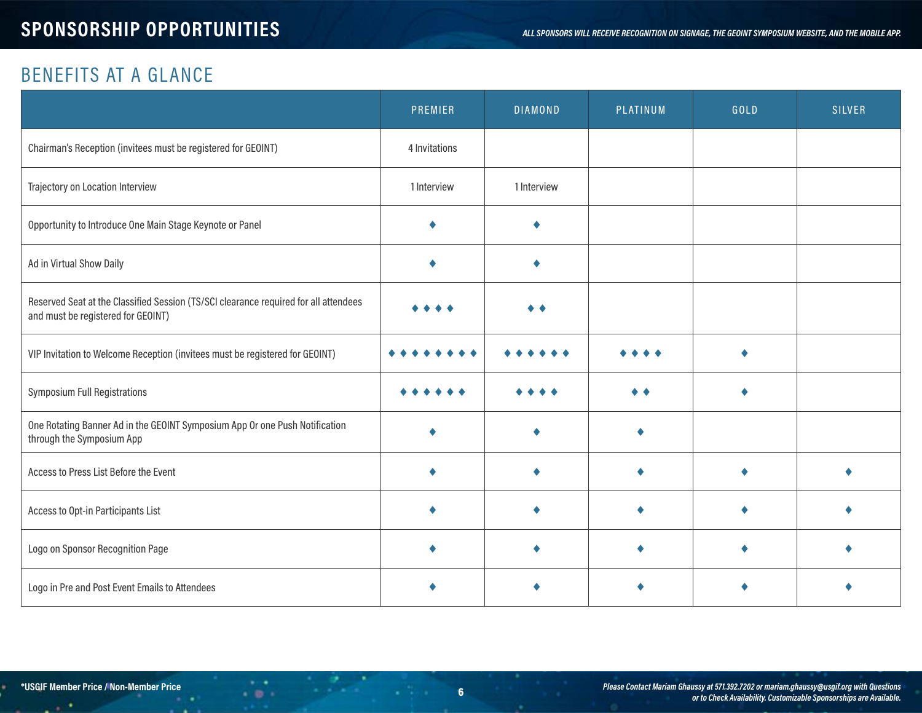# BENEFITS AT A GLANCE

|                                                                                                                            | PREMIER       | <b>DIAMOND</b> | PLATINUM | GOLD | <b>SILVER</b> |
|----------------------------------------------------------------------------------------------------------------------------|---------------|----------------|----------|------|---------------|
| Chairman's Reception (invitees must be registered for GEOINT)                                                              | 4 Invitations |                |          |      |               |
| Trajectory on Location Interview                                                                                           | 1 Interview   | 1 Interview    |          |      |               |
| Opportunity to Introduce One Main Stage Keynote or Panel                                                                   |               |                |          |      |               |
| Ad in Virtual Show Daily                                                                                                   |               |                |          |      |               |
| Reserved Seat at the Classified Session (TS/SCI clearance required for all attendees<br>and must be registered for GEOINT) |               |                |          |      |               |
| VIP Invitation to Welcome Reception (invitees must be registered for GEOINT)                                               |               |                |          |      |               |
| <b>Symposium Full Registrations</b>                                                                                        |               |                |          |      |               |
| One Rotating Banner Ad in the GEOINT Symposium App Or one Push Notification<br>through the Symposium App                   |               |                |          |      |               |
| Access to Press List Before the Event                                                                                      |               |                |          |      |               |
| Access to Opt-in Participants List                                                                                         |               |                |          |      |               |
| Logo on Sponsor Recognition Page                                                                                           |               |                |          |      |               |
| Logo in Pre and Post Event Emails to Attendees                                                                             |               |                |          |      |               |

. .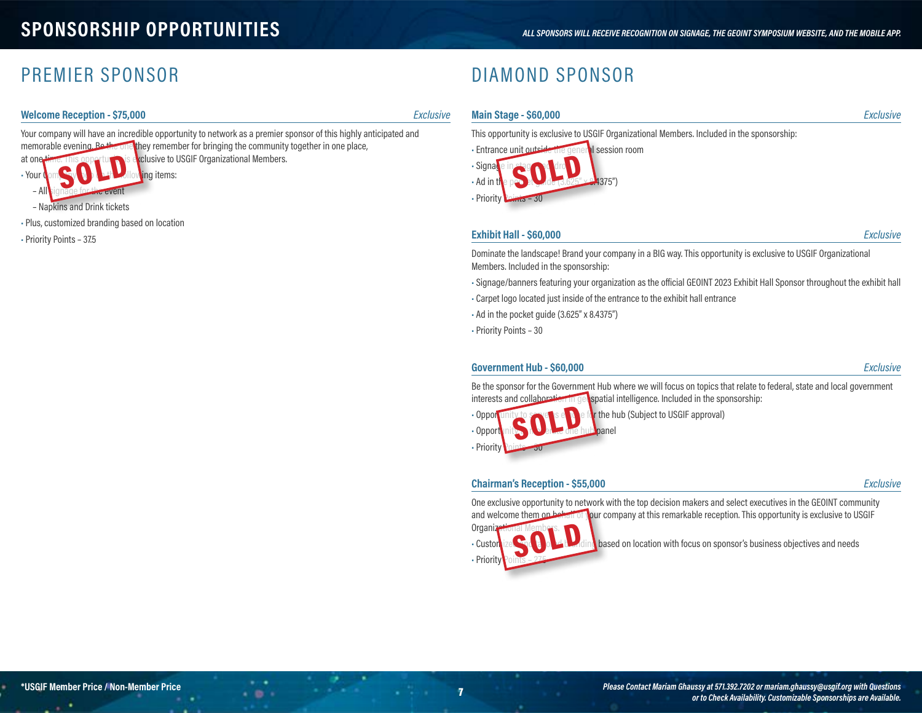### PREMIER SPONSOR

#### **Welcome Reception - \$75,000** *Exclusive*

Your company will have an incredible opportunity to network as a premier sponsor of this highly anticipated and memorable evening. Be the one they remember for bringing the community together in one place, at one time. This opportunity is exclusive to USGIF Organizational Members. SOLD

 $\cdot$  .

٠

– All signage for the event – Napkins and Drink tickets

• Plus, customized branding based on location

• Your Company low Later Moving items:

• Priority Points – 37.5

**Main Stage - \$60,000** *Exclusive*

DIAMOND SPONSOR

This opportunity is exclusive to USGIF Organizational Members. Included in the sponsorship:



#### **Exhibit Hall - \$60,000** *Exclusive*

Dominate the landscape! Brand your company in a BIG way. This opportunity is exclusive to USGIF Organizational Members. Included in the sponsorship:

• Signage/banners featuring your organization as the official GEOINT 2023 Exhibit Hall Sponsor throughout the exhibit hall

- Carpet logo located just inside of the entrance to the exhibit hall entrance
- Ad in the pocket guide (3.625" x 8.4375")
- Priority Points 30

#### **Government Hub - \$60,000** *Exclusive*

Be the sponsor for the Government Hub where we will focus on topics that relate to federal, state and local government interests and collaboration in geospatial intelligence. Included in the sponsorship:



• Opportunity to serve as each entity the hub (Subject to USGIF approval)

#### **Chairman's Reception - \$55,000** *Exclusive*



and welcome them on behalf of your company at this remarkable reception. This opportunity is exclusive to USGIF Organi

• Priority SOLD

• Customized and tailor and tailored branding based on location with focus on sponsor's business objectives and needs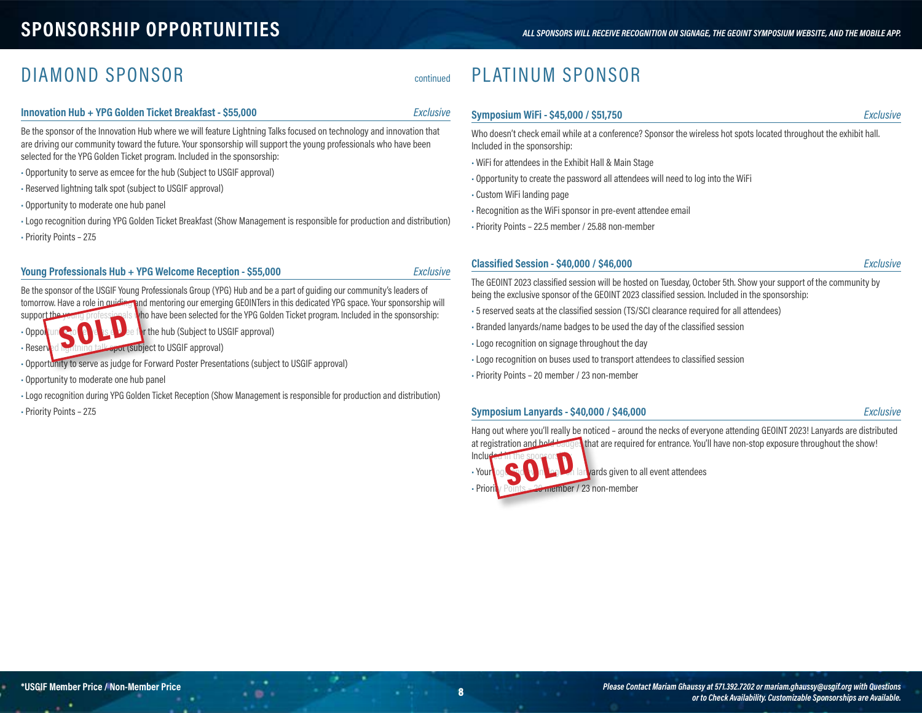# **SPONSORSHIP OPPORTUNITIES** *ALL SPONSORS WILL RECEIVE RECOGNITION ON SIGNAGE, THE GEOINT SYMPOSIUM WEBSITE, AND THE MOBILE APP.*

### DIAMOND SPONSOR continued

#### **Innovation Hub + YPG Golden Ticket Breakfast - \$55,000** *Exclusive*

Be the sponsor of the Innovation Hub where we will feature Lightning Talks focused on technology and innovation that are driving our community toward the future. Your sponsorship will support the young professionals who have been selected for the YPG Golden Ticket program. Included in the sponsorship:

- Opportunity to serve as emcee for the hub (Subject to USGIF approval)
- Reserved lightning talk spot (subject to USGIF approval)
- Opportunity to moderate one hub panel
- •Logo recognition during YPG Golden Ticket Breakfast (Show Management is responsible for production and distribution) • Priority Points – 27.5

#### **Young Professionals Hub + YPG Welcome Reception - \$55,000** *Exclusive*

Be the sponsor of the USGIF Young Professionals Group (YPG) Hub and be a part of guiding our community's leaders of tomorrow. Have a role in quiding and mentoring our emerging GEOINTers in this dedicated YPG space. Your sponsorship will support the young professionals who have been selected for the YPG Golden Ticket program. Included in the sponsorship:

• Opportunity to serve as  $\epsilon$  and the formulation of the hub (Subject to USGIF approval)

- Reserved lightning talk spot (subject to USGIF approval) SOLD
- Opportunity to serve as judge for Forward Poster Presentations (subject to USGIF approval)
- Opportunity to moderate one hub panel
- Logo recognition during YPG Golden Ticket Reception (Show Management is responsible for production and distribution)

 $\cdot$  .

• Priority Points – 27.5

# PLATINUM SPONSOR

### **Symposium WiFi - \$45,000 / \$51,750** *Exclusive*

Who doesn't check email while at a conference? Sponsor the wireless hot spots located throughout the exhibit hall. Included in the sponsorship:

- WiFi for attendees in the Exhibit Hall & Main Stage
- Opportunity to create the password all attendees will need to log into the WiFi
- Custom WiFi landing page
- Recognition as the WiFi sponsor in pre-event attendee email
- Priority Points 22.5 member / 25.88 non-member

#### **Classified Session - \$40,000 / \$46,000** *Exclusive*

The GEOINT 2023 classified session will be hosted on Tuesday, October 5th. Show your support of the community by being the exclusive sponsor of the GEOINT 2023 classified session. Included in the sponsorship:

- 5 reserved seats at the classified session (TS/SCI clearance required for all attendees)
- Branded lanyards/name badges to be used the day of the classified session
- Logo recognition on signage throughout the day
- Logo recognition on buses used to transport attendees to classified session
- Priority Points 20 member / 23 non-member

#### **Symposium Lanyards - \$40,000 / \$46,000** *Exclusive*

Hang out where you'll really be noticed – around the necks of everyone attending GEOINT 2023! Lanyards are distributed at registration and hold badges that are required for entrance. You'll have non-stop exposure throughout the show!

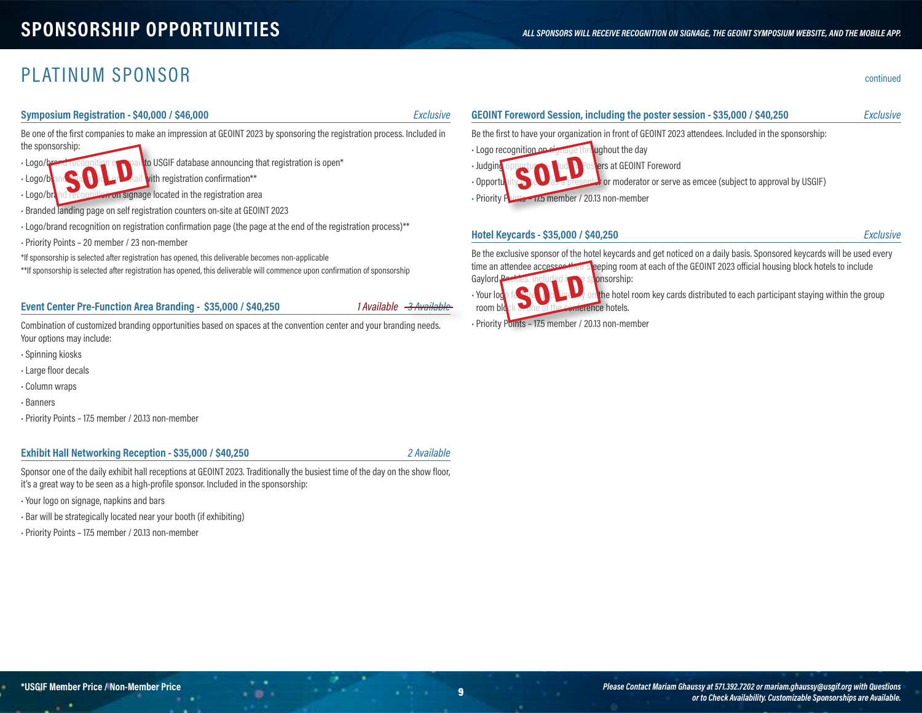### PLATINUM SPONSOR continued

#### **Symposium Registration - \$40,000 / \$46,000** *Exclusive*

Be one of the first companies to make an impression at GEOINT 2023 by sponsoring the registration process. Included in the sponsorship:

• Logo/brand recognition on a nail to USGIF database announcing that registration is open\*

• Logo/brand Credition on the mail with registration confirmation\*\* SOLD

• Logo/brand recognition on signage located in the registration area

- Branded landing page on self registration counters on-site at GEOINT 2023
- •Logo/brand recognition on registration confirmation page (the page at the end of the registration process)\*\*
- Priority Points 20 member / 23 non-member

\*If sponsorship is selected after registration has opened, this deliverable becomes non-applicable

\*\*If sponsorship is selected after registration has opened, this deliverable will commence upon confirmation of sponsorship

#### **Event Center Pre-Function Area Branding - \$35,000 / \$40,250**

*1* Available - 3 Available

Combination of customized branding opportunities based on spaces at the convention center and your branding needs. Your options may include:

- Spinning kiosks
- Large floor decals
- Column wraps
- Banners
- Priority Points 17.5 member / 20.13 non-member

#### **Exhibit Hall Networking Reception - \$35,000 / \$40,250** *2 Available*

Sponsor one of the daily exhibit hall receptions at GEOINT 2023. Traditionally the busiest time of the day on the show floor, it's a great way to be seen as a high-profile sponsor. Included in the sponsorship:

 $\cdot$  .

- Your logo on signage, napkins and bars
- Bar will be strategically located near your booth (if exhibiting)
- Priority Points 17.5 member / 20.13 non-member

### **GEOINT Foreword Session, including the poster session - \$35,000 / \$40,250** *Exclusive* Be the first to have your organization in front of GEOINT 2023 attendees. Included in the sponsorship: • Logo recognition on signage throughout the day • Judging opportunity- Student Posters at GEOINT Foreword • Opportunity to serve as a presenter or serve as emcee (subject to approval by USGIF) • Priority Points – 17.5 member / 20.13 non-member SOLD

#### **Hotel Keycards - \$35,000 / \$40,250** *Exclusive*

Be the exclusive sponsor of the hotel keycards and get noticed on a daily basis. Sponsored keycards will be used every



• Your logo featured prominently on the hotel room key cards distributed to each participant staying within the group

• Priority Points – 17.5 member / 20.13 non-member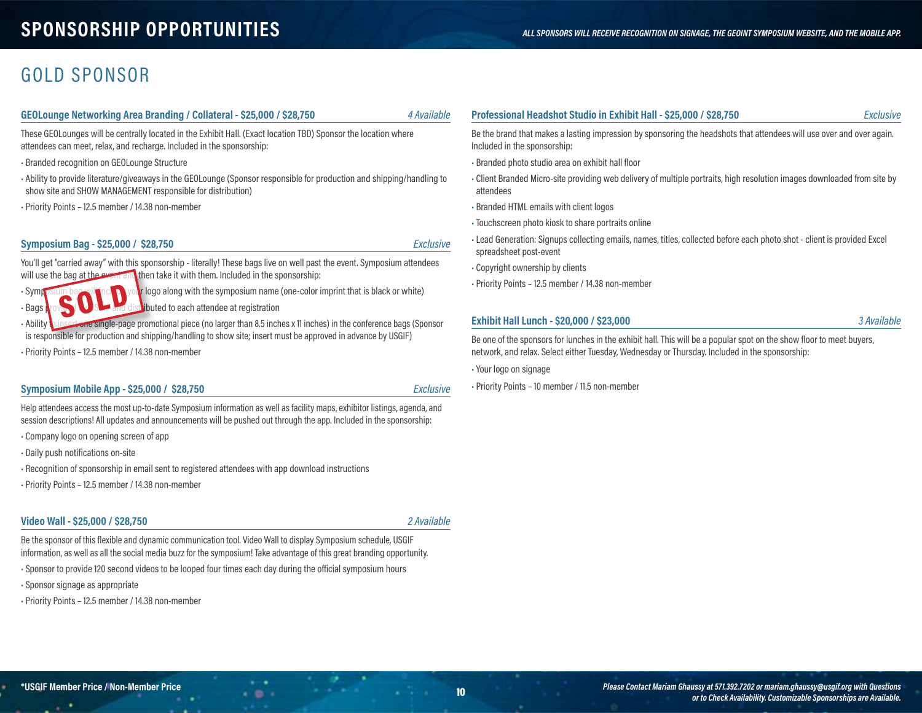### **SPONSORSHIP OPPORTUNITIES** *ALL SPONSORS WILL RECEIVE RECOGNITION ON SIGNAGE, THE GEOINT SYMPOSIUM WEBSITE, AND THE MOBILE APP.*

### GOLD SPONSOR

#### **GEOLounge Networking Area Branding / Collateral - \$25,000 / \$28,750** *4 Available*

These GEOLounges will be centrally located in the Exhibit Hall. (Exact location TBD) Sponsor the location where attendees can meet, relax, and recharge. Included in the sponsorship:

• Branded recognition on GEOLounge Structure

- Ability to provide literature/giveaways in the GEOLounge (Sponsor responsible for production and shipping/handling to show site and SHOW MANAGEMENT responsible for distribution)
- Priority Points 12.5 member / 14.38 non-member

#### **Symposium Bag - \$25,000 / \$28,750** *Exclusive*

You'll get "carried away" with this sponsorship - literally! These bags live on well past the event. Symposium attendees will use the bag at the event and then take it with them. Included in the sponsorship:

• Symposium bag will include your logo along with the symposium name (one-color imprint that is black or white) • Bags **A** rovided **USGIF and distributed to each attendee at registration** 

• Ability to insert one single-page promotional piece (no larger than 8.5 inches x 11 inches) in the conference bags (Sponsor is responsible for production and shipping/handling to show site; insert must be approved in advance by USGIF) SOLD

• Priority Points – 12.5 member / 14.38 non-member

#### **Symposium Mobile App - \$25,000 / \$28,750** *Exclusive*

Help attendees access the most up-to-date Symposium information as well as facility maps, exhibitor listings, agenda, and session descriptions! All updates and announcements will be pushed out through the app. Included in the sponsorship:

- Company logo on opening screen of app
- Daily push notifications on-site
- Recognition of sponsorship in email sent to registered attendees with app download instructions
- Priority Points 12.5 member / 14.38 non-member

#### **Video Wall - \$25,000 / \$28,750** *2 Available*

Be the sponsor of this flexible and dynamic communication tool. Video Wall to display Symposium schedule, USGIF information, as well as all the social media buzz for the symposium! Take advantage of this great branding opportunity.

 $\cdot$  .

• Sponsor to provide 120 second videos to be looped four times each day during the official symposium hours

• Sponsor signage as appropriate

• Priority Points – 12.5 member / 14.38 non-member

### **Professional Headshot Studio in Exhibit Hall - \$25,000 / \$28,750** *Exclusive*

Be the brand that makes a lasting impression by sponsoring the headshots that attendees will use over and over again. Included in the sponsorship:

- Branded photo studio area on exhibit hall floor
- Client Branded Micro-site providing web delivery of multiple portraits, high resolution images downloaded from site by attendees
- Branded HTML emails with client logos
- Touchscreen photo kiosk to share portraits online
- •Lead Generation: Signups collecting emails, names, titles, collected before each photo shot client is provided Excel spreadsheet post-event
- Copyright ownership by clients
- Priority Points 12.5 member / 14.38 non-member

#### **Exhibit Hall Lunch - \$20,000 / \$23,000** *3 Available*

Be one of the sponsors for lunches in the exhibit hall. This will be a popular spot on the show floor to meet buyers, network, and relax. Select either Tuesday, Wednesday or Thursday. Included in the sponsorship:

• Your logo on signage

• Priority Points – 10 member / 11.5 non-member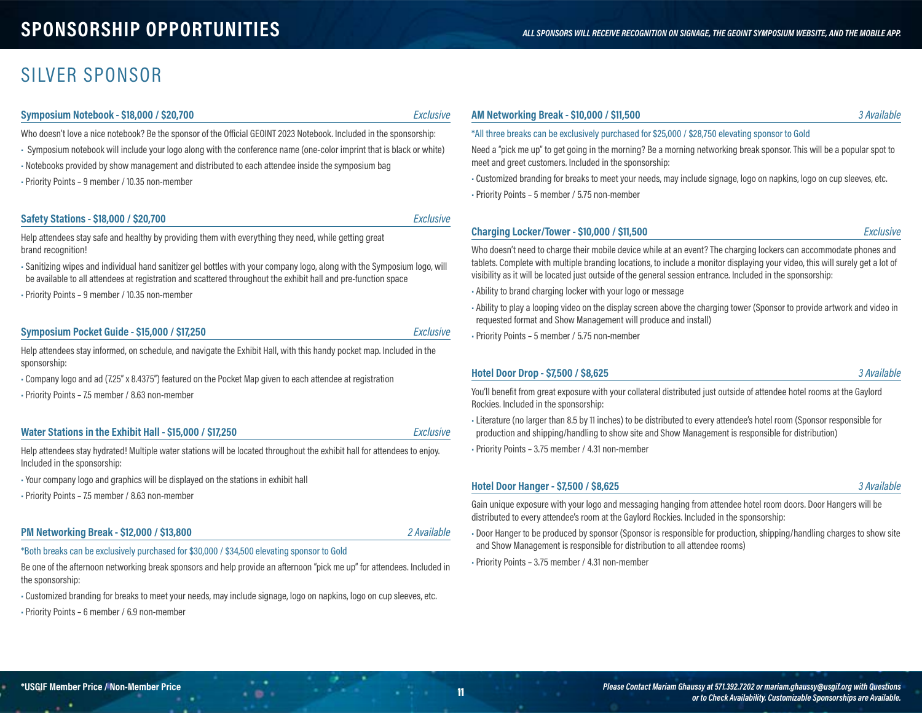### SILVER SPONSOR

#### **Symposium Notebook - \$18,000 / \$20,700** *Exclusive*

Who doesn't love a nice notebook? Be the sponsor of the Official GEOINT 2023 Notebook. Included in the sponsorship:

- Symposium notebook will include your logo along with the conference name (one-color imprint that is black or white)
- Notebooks provided by show management and distributed to each attendee inside the symposium bag
- Priority Points 9 member / 10.35 non-member

#### **Safety Stations - \$18,000 / \$20,700** *Exclusive*

Help attendees stay safe and healthy by providing them with everything they need, while getting great brand recognition!

• Sanitizing wipes and individual hand sanitizer gel bottles with your company logo, along with the Symposium logo, will be available to all attendees at registration and scattered throughout the exhibit hall and pre-function space

• Priority Points – 9 member / 10.35 non-member

#### **Symposium Pocket Guide - \$15,000 / \$17,250** *Exclusive*

Help attendees stay informed, on schedule, and navigate the Exhibit Hall, with this handy pocket map. Included in the sponsorship:

- Company logo and ad (7.25" x 8.4375") featured on the Pocket Map given to each attendee at registration
- Priority Points 7.5 member / 8.63 non-member

#### **Water Stations in the Exhibit Hall - \$15,000 / \$17,250** *Exclusive*

Help attendees stay hydrated! Multiple water stations will be located throughout the exhibit hall for attendees to enjoy. Included in the sponsorship:

- Your company logo and graphics will be displayed on the stations in exhibit hall
- Priority Points 7.5 member / 8.63 non-member

#### **PM Networking Break - \$12,000 / \$13,800** *2 Available*

\*Both breaks can be exclusively purchased for \$30,000 / \$34,500 elevating sponsor to Gold

Be one of the afternoon networking break sponsors and help provide an afternoon "pick me up" for attendees. Included in the sponsorship:

 $\cdot$  .

• Customized branding for breaks to meet your needs, may include signage, logo on napkins, logo on cup sleeves, etc.

• Priority Points – 6 member / 6.9 non-member

#### **AM Networking Break - \$10,000 / \$11,500** *3 Available*

#### \*All three breaks can be exclusively purchased for \$25,000 / \$28,750 elevating sponsor to Gold

Need a "pick me up" to get going in the morning? Be a morning networking break sponsor. This will be a popular spot to meet and greet customers. Included in the sponsorship:

• Customized branding for breaks to meet your needs, may include signage, logo on napkins, logo on cup sleeves, etc.

• Priority Points – 5 member / 5.75 non-member

#### **Charging Locker/Tower - \$10,000 / \$11,500** *Exclusive*

Who doesn't need to charge their mobile device while at an event? The charging lockers can accommodate phones and tablets. Complete with multiple branding locations, to include a monitor displaying your video, this will surely get a lot of visibility as it will be located just outside of the general session entrance. Included in the sponsorship:

- Ability to brand charging locker with your logo or message
- Ability to play a looping video on the display screen above the charging tower (Sponsor to provide artwork and video in requested format and Show Management will produce and install)
- Priority Points 5 member / 5.75 non-member

#### **Hotel Door Drop - \$7,500 / \$8,625** *3 Available*

You'll benefit from great exposure with your collateral distributed just outside of attendee hotel rooms at the Gaylord Rockies. Included in the sponsorship:

•Literature (no larger than 8.5 by 11 inches) to be distributed to every attendee's hotel room (Sponsor responsible for production and shipping/handling to show site and Show Management is responsible for distribution)

• Priority Points – 3.75 member / 4.31 non-member

#### **Hotel Door Hanger - \$7,500 / \$8,625** *3 Available*

Gain unique exposure with your logo and messaging hanging from attendee hotel room doors. Door Hangers will be distributed to every attendee's room at the Gaylord Rockies. Included in the sponsorship:

• Door Hanger to be produced by sponsor (Sponsor is responsible for production, shipping/handling charges to show site and Show Management is responsible for distribution to all attendee rooms)

• Priority Points – 3.75 member / 4.31 non-member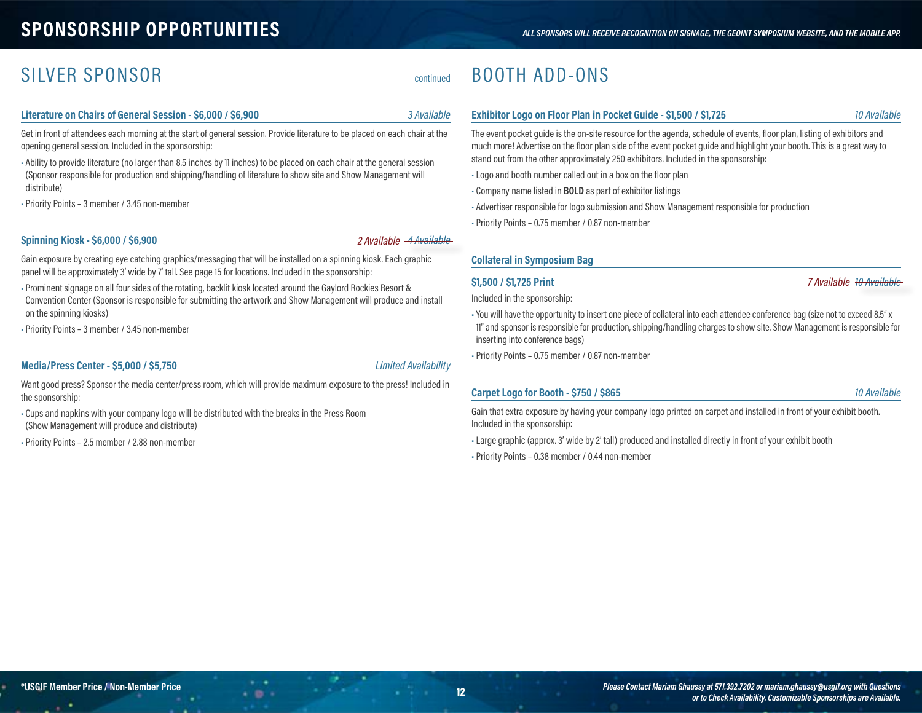# **SPONSORSHIP OPPORTUNITIES** *ALL SPONSORS WILL RECEIVE RECOGNITION ON SIGNAGE, THE GEOINT SYMPOSIUM WEBSITE, AND THE MOBILE APP.*

# SILVER SPONSOR Continued

### **Literature on Chairs of General Session - \$6,000 / \$6,900** *3 Available*

Get in front of attendees each morning at the start of general session. Provide literature to be placed on each chair at the opening general session. Included in the sponsorship:

• Ability to provide literature (no larger than 8.5 inches by 11 inches) to be placed on each chair at the general session (Sponsor responsible for production and shipping/handling of literature to show site and Show Management will distribute)

• Priority Points – 3 member / 3.45 non-member

#### **Spinning Kiosk - \$6,000 / \$6,900** *4 Available*

#### *2 Available*

Gain exposure by creating eye catching graphics/messaging that will be installed on a spinning kiosk. Each graphic panel will be approximately 3' wide by 7' tall. See page 15 for locations. Included in the sponsorship:

• Prominent signage on all four sides of the rotating, backlit kiosk located around the Gaylord Rockies Resort & Convention Center (Sponsor is responsible for submitting the artwork and Show Management will produce and install on the spinning kiosks)

• Priority Points – 3 member / 3.45 non-member

### **Media/Press Center - \$5,000 / \$5,750** *Limited Availability*

Want good press? Sponsor the media center/press room, which will provide maximum exposure to the press! Included in the sponsorship:

 $\cdot$  .

- Cups and napkins with your company logo will be distributed with the breaks in the Press Room (Show Management will produce and distribute)
- Priority Points 2.5 member / 2.88 non-member

# BOOTH ADD-ONS

### **Exhibitor Logo on Floor Plan in Pocket Guide - \$1,500 / \$1,725** *10 Available*

The event pocket guide is the on-site resource for the agenda, schedule of events, floor plan, listing of exhibitors and much more! Advertise on the floor plan side of the event pocket guide and highlight your booth. This is a great way to stand out from the other approximately 250 exhibitors. Included in the sponsorship:

- •Logo and booth number called out in a box on the floor plan
- Company name listed in **BOLD** as part of exhibitor listings
- Advertiser responsible for logo submission and Show Management responsible for production
- Priority Points 0.75 member / 0.87 non-member

#### **Collateral in Symposium Bag**

#### **\$1,500 / \$1,725 Print** *10 Available*

Included in the sponsorship:

• You will have the opportunity to insert one piece of collateral into each attendee conference bag (size not to exceed 8.5" x 11" and sponsor is responsible for production, shipping/handling charges to show site. Show Management is responsible for inserting into conference bags)

• Priority Points – 0.75 member / 0.87 non-member

#### **Carpet Logo for Booth - \$750 / \$865** *10 Available*

*7 Available*

Gain that extra exposure by having your company logo printed on carpet and installed in front of your exhibit booth. Included in the sponsorship:

•Large graphic (approx. 3' wide by 2' tall) produced and installed directly in front of your exhibit booth

• Priority Points – 0.38 member / 0.44 non-member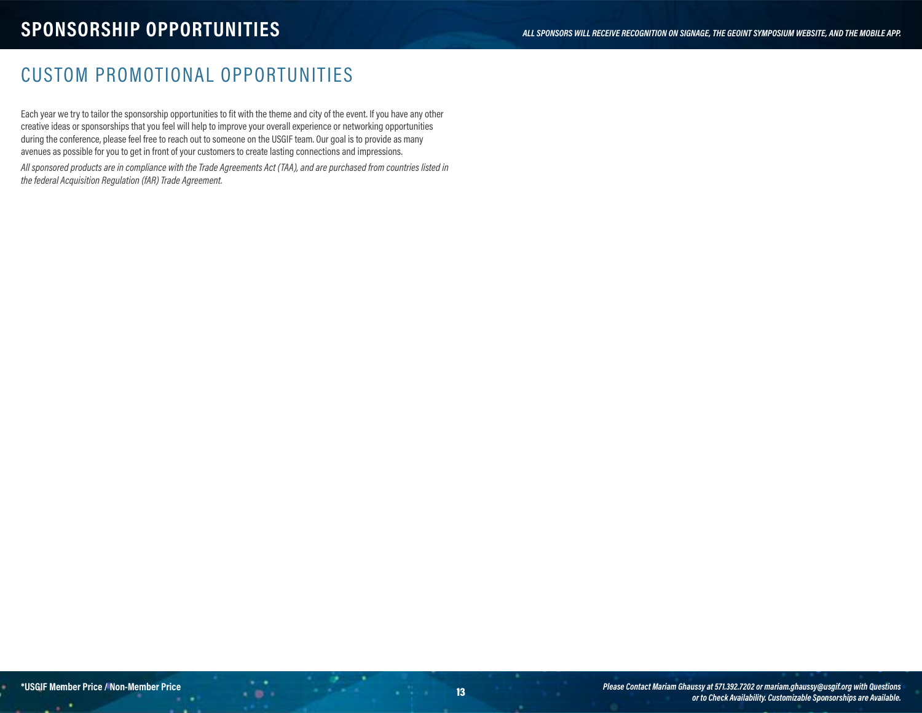# CUSTOM PROMOTIONAL OPPORTUNITIES

Each year we try to tailor the sponsorship opportunities to fit with the theme and city of the event. If you have any other creative ideas or sponsorships that you feel will help to improve your overall experience or networking opportunities during the conference, please feel free to reach out to someone on the USGIF team. Our goal is to provide as many avenues as possible for you to get in front of your customers to create lasting connections and impressions.

*All sponsored products are in compliance with the Trade Agreements Act (TAA), and are purchased from countries listed in the federal Acquisition Regulation (fAR) Trade Agreement.*

 $-0.1$ 

۰.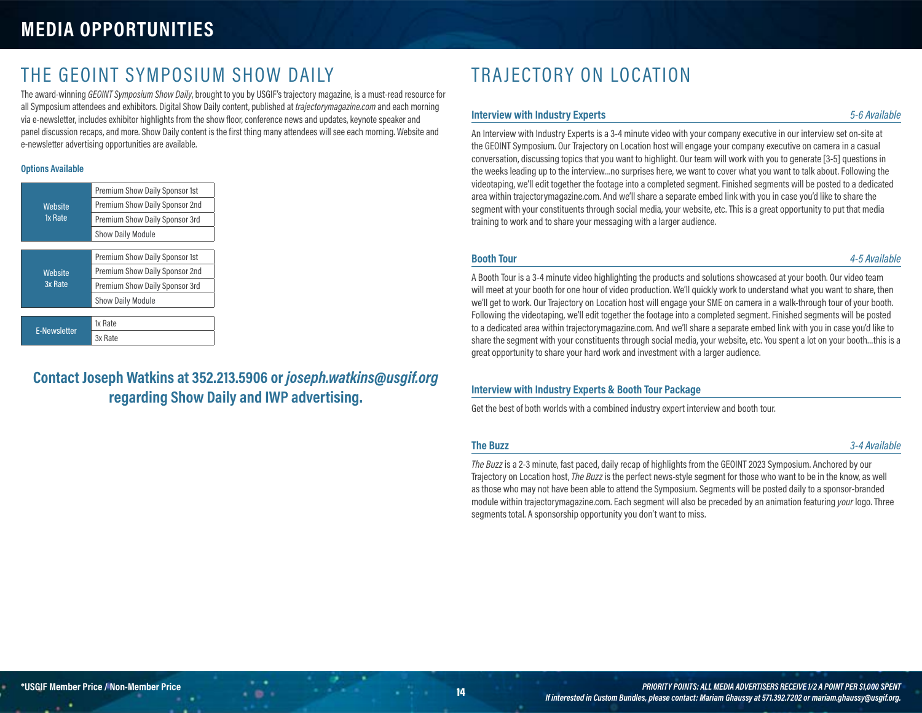# **MEDIA OPPORTUNITIES**

## THE GEOINT SYMPOSIUM SHOW DAILY

The award-winning *GEOINT Symposium Show Daily*, brought to you by USGIF's trajectory magazine, is a must-read resource for all Symposium attendees and exhibitors. Digital Show Daily content, published at *trajectorymagazine.com* and each morning via e-newsletter, includes exhibitor highlights from the show floor, conference news and updates, keynote speaker and panel discussion recaps, and more. Show Daily content is the first thing many attendees will see each morning. Website and e-newsletter advertising opportunities are available.

#### **Options Available**

| Website<br>1x Rate  | Premium Show Daily Sponsor 1st |  |  |  |
|---------------------|--------------------------------|--|--|--|
|                     | Premium Show Daily Sponsor 2nd |  |  |  |
|                     | Premium Show Daily Sponsor 3rd |  |  |  |
|                     | <b>Show Daily Module</b>       |  |  |  |
|                     |                                |  |  |  |
| Website<br>3x Rate  | Premium Show Daily Sponsor 1st |  |  |  |
|                     | Premium Show Daily Sponsor 2nd |  |  |  |
|                     | Premium Show Daily Sponsor 3rd |  |  |  |
|                     | <b>Show Daily Module</b>       |  |  |  |
|                     |                                |  |  |  |
| <b>E-Newsletter</b> | 1x Rate                        |  |  |  |
|                     | 3x Rate                        |  |  |  |
|                     |                                |  |  |  |

### **Contact Joseph Watkins at 352.213.5906 or** *joseph.watkins@usgif.org* **regarding Show Daily and IWP advertising.**

# TRAJECTORY ON LOCATION

#### **Interview with Industry Experts** *5-6 Available*

An Interview with Industry Experts is a 3-4 minute video with your company executive in our interview set on-site at the GEOINT Symposium. Our Trajectory on Location host will engage your company executive on camera in a casual conversation, discussing topics that you want to highlight. Our team will work with you to generate [3-5] questions in the weeks leading up to the interview…no surprises here, we want to cover what you want to talk about. Following the videotaping, we'll edit together the footage into a completed segment. Finished segments will be posted to a dedicated area within trajectorymagazine.com. And we'll share a separate embed link with you in case you'd like to share the segment with your constituents through social media, your website, etc. This is a great opportunity to put that media training to work and to share your messaging with a larger audience.

**Booth Tour** *4-5 Available*

A Booth Tour is a 3-4 minute video highlighting the products and solutions showcased at your booth. Our video team will meet at your booth for one hour of video production. We'll quickly work to understand what you want to share, then we'll get to work. Our Trajectory on Location host will engage your SME on camera in a walk-through tour of your booth. Following the videotaping, we'll edit together the footage into a completed segment. Finished segments will be posted to a dedicated area within trajectorymagazine.com. And we'll share a separate embed link with you in case you'd like to share the segment with your constituents through social media, your website, etc. You spent a lot on your booth…this is a great opportunity to share your hard work and investment with a larger audience.

### **Interview with Industry Experts & Booth Tour Package**

Get the best of both worlds with a combined industry expert interview and booth tour.

**The Buzz** *3-4 Available*

*The Buzz* is a 2-3 minute, fast paced, daily recap of highlights from the GEOINT 2023 Symposium. Anchored by our Trajectory on Location host, *The Buzz* is the perfect news-style segment for those who want to be in the know, as well as those who may not have been able to attend the Symposium. Segments will be posted daily to a sponsor-branded module within trajectorymagazine.com. Each segment will also be preceded by an animation featuring *your* logo. Three segments total. A sponsorship opportunity you don't want to miss.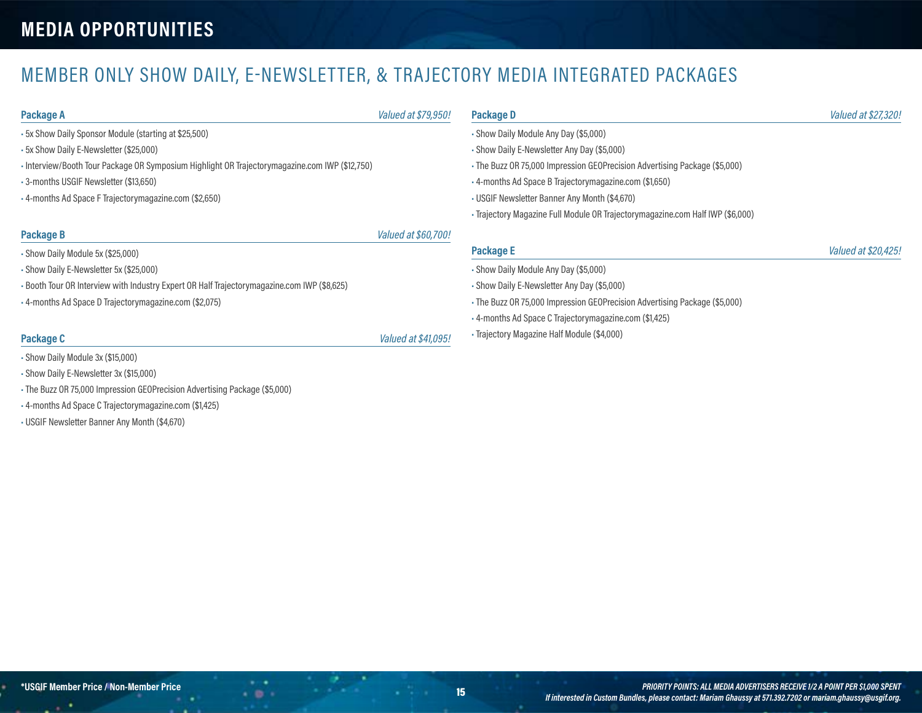# MEMBER ONLY SHOW DAILY, E-NEWSLETTER, & TRAJECTORY MEDIA INTEGRATED PACKAGES

- 5x Show Daily Sponsor Module (starting at \$25,500)
- 5x Show Daily E-Newsletter (\$25,000)
- Interview/Booth Tour Package OR Symposium Highlight OR Trajectorymagazine.com IWP (\$12,750)
- 3-months USGIF Newsletter (\$13,650)
- 4-months Ad Space F Trajectorymagazine.com (\$2,650)

#### **Package B** *Valued at \$60,700!*

- Show Daily Module 5x (\$25,000)
- Show Daily E-Newsletter 5x (\$25,000)
- Booth Tour OR Interview with Industry Expert OR Half Trajectorymagazine.com IWP (\$8,625)
- 4-months Ad Space D Trajectorymagazine.com (\$2,075)

### **Package C** *Valued at \$41,095!*

- Show Daily Module 3x (\$15,000)
- Show Daily E-Newsletter 3x (\$15,000)
- The Buzz OR 75,000 Impression GEOPrecision Advertising Package (\$5,000)
- 4-months Ad Space C Trajectorymagazine.com (\$1,425)
- USGIF Newsletter Banner Any Month (\$4,670)

### **Package A** *Valued at \$79,950!*

• Show Daily Module Any Day (\$5,000)

- Show Daily E-Newsletter Any Day (\$5,000)
- The Buzz OR 75,000 Impression GEOPrecision Advertising Package (\$5,000)
- 4-months Ad Space B Trajectorymagazine.com (\$1,650)
- USGIF Newsletter Banner Any Month (\$4,670)
- Trajectory Magazine Full Module OR Trajectorymagazine.com Half IWP (\$6,000)

#### **Package E** *Valued at \$20,425!*

- Show Daily Module Any Day (\$5,000)
- Show Daily E-Newsletter Any Day (\$5,000)
- The Buzz OR 75,000 Impression GEOPrecision Advertising Package (\$5,000)
- 4-months Ad Space C Trajectorymagazine.com (\$1,425)
- Trajectory Magazine Half Module (\$4,000)

**Package D** *Valued at \$27,320!*